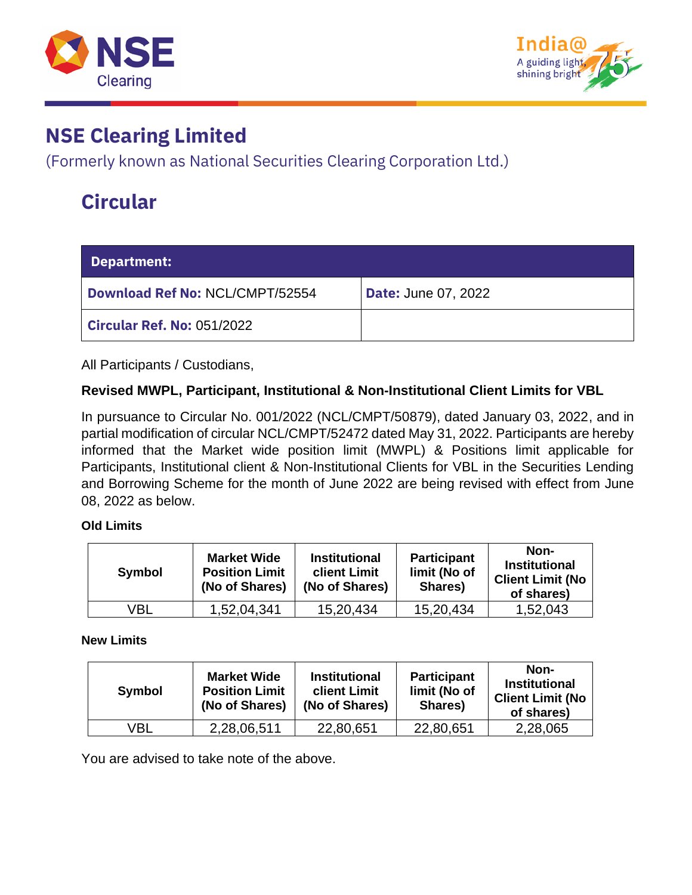



### **NSE Clearing Limited**

(Formerly known as National Securities Clearing Corporation Ltd.)

## **Circular**

| <b>Department:</b>                |                            |
|-----------------------------------|----------------------------|
| Download Ref No: NCL/CMPT/52554   | <b>Date: June 07, 2022</b> |
| <b>Circular Ref. No: 051/2022</b> |                            |

All Participants / Custodians,

#### **Revised MWPL, Participant, Institutional & Non-Institutional Client Limits for VBL**

In pursuance to Circular No. 001/2022 (NCL/CMPT/50879), dated January 03, 2022, and in partial modification of circular NCL/CMPT/52472 dated May 31, 2022. Participants are hereby informed that the Market wide position limit (MWPL) & Positions limit applicable for Participants, Institutional client & Non-Institutional Clients for VBL in the Securities Lending and Borrowing Scheme for the month of June 2022 are being revised with effect from June 08, 2022 as below.

#### **Old Limits**

| Symbol | <b>Market Wide</b><br><b>Position Limit</b><br>(No of Shares) | <b>Institutional</b><br>client Limit<br>(No of Shares) | <b>Participant</b><br>limit (No of<br>Shares) | Non-<br><b>Institutional</b><br><b>Client Limit (No</b><br>of shares) |
|--------|---------------------------------------------------------------|--------------------------------------------------------|-----------------------------------------------|-----------------------------------------------------------------------|
| VBL    | 1,52,04,341                                                   | 15,20,434                                              | 15,20,434                                     | 1,52,043                                                              |

#### **New Limits**

| Symbol | <b>Market Wide</b><br><b>Position Limit</b><br>(No of Shares) | <b>Institutional</b><br><b>client Limit</b><br>(No of Shares) | <b>Participant</b><br>limit (No of<br>Shares) | Non-<br><b>Institutional</b><br><b>Client Limit (No</b><br>of shares) |
|--------|---------------------------------------------------------------|---------------------------------------------------------------|-----------------------------------------------|-----------------------------------------------------------------------|
| √BL    | 2,28,06,511                                                   | 22,80,651                                                     | 22,80,651                                     | 2,28,065                                                              |

You are advised to take note of the above.